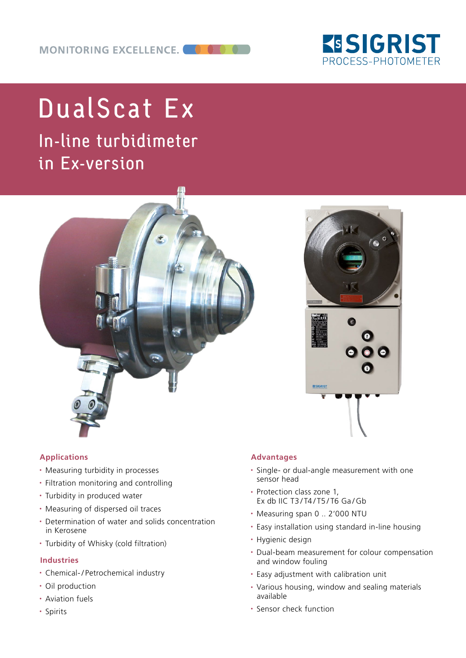

# DualScat Ex

In-line turbidimeter in Ex-version



### **Applications**

- Measuring turbidity in processes
- Filtration monitoring and controlling
- Turbidity in produced water
- Measuring of dispersed oil traces
- Determination of water and solids concentration in Kerosene
- Turbidity of Whisky (cold filtration)

### **Industries**

- Chemical- / Petrochemical industry
- Oil production
- Aviation fuels
- Spirits

### **Advantages**

- Single- or dual-angle measurement with one sensor head
- Protection class zone 1. Ex db IIC T3 / T4 / T5 / T6 Ga / Gb
- Measuring span 0 .. 2'000 NTU
- Easy installation using standard in-line housing
- Hygienic design
- Dual-beam measurement for colour compensation and window fouling
- Easy adjustment with calibration unit
- Various housing, window and sealing materials available
- Sensor check function